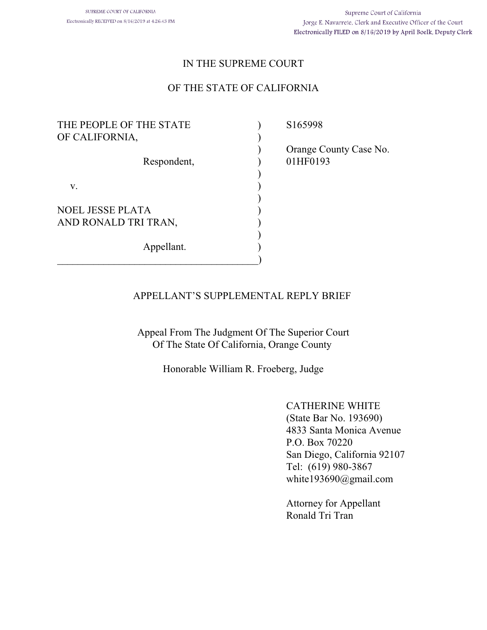## IN THE SUPREME COURT

## OF THE STATE OF CALIFORNIA

| THE PEOPLE OF THE STATE<br>OF CALIFORNIA,       |  |
|-------------------------------------------------|--|
| Respondent,                                     |  |
| V.                                              |  |
| <b>NOEL JESSE PLATA</b><br>AND RONALD TRI TRAN, |  |
| Appellant.                                      |  |
|                                                 |  |

 $)$  S165998

 $)$ 

 ) Orange County Case No. ) 01HF0193

### APPELLANT'S SUPPLEMENTAL REPLY BRIEF

Appeal From The Judgment Of The Superior Court Of The State Of California, Orange County

Honorable William R. Froeberg, Judge

CATHERINE WHITE (State Bar No. 193690) 4833 Santa Monica Avenue P.O. Box 70220 San Diego, California 92107 Tel: (619) 980-3867 white193690@gmail.com

Attorney for Appellant Ronald Tri Tran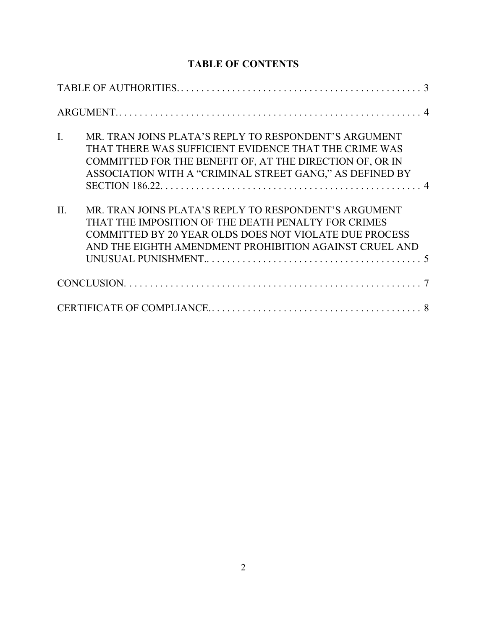# **TABLE OF CONTENTS**

| $\overline{I}$ . | MR. TRAN JOINS PLATA'S REPLY TO RESPONDENT'S ARGUMENT<br>THAT THERE WAS SUFFICIENT EVIDENCE THAT THE CRIME WAS<br>COMMITTED FOR THE BENEFIT OF, AT THE DIRECTION OF, OR IN<br>ASSOCIATION WITH A "CRIMINAL STREET GANG," AS DEFINED BY  |  |
|------------------|-----------------------------------------------------------------------------------------------------------------------------------------------------------------------------------------------------------------------------------------|--|
|                  |                                                                                                                                                                                                                                         |  |
| II.              | MR. TRAN JOINS PLATA'S REPLY TO RESPONDENT'S ARGUMENT<br>THAT THE IMPOSITION OF THE DEATH PENALTY FOR CRIMES<br><b>COMMITTED BY 20 YEAR OLDS DOES NOT VIOLATE DUE PROCESS</b><br>AND THE EIGHTH AMENDMENT PROHIBITION AGAINST CRUEL AND |  |
|                  |                                                                                                                                                                                                                                         |  |
|                  |                                                                                                                                                                                                                                         |  |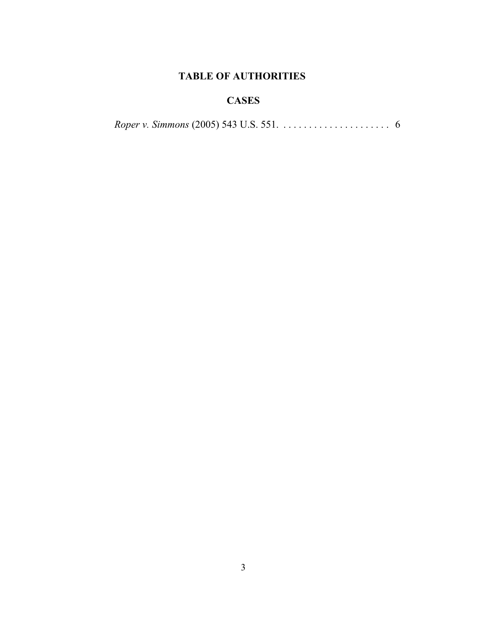# **TABLE OF AUTHORITIES**

# **CASES**

|  |  | <i>Roper v. Simmons</i> (2005) 543 U.S. 551. $\ldots \ldots \ldots \ldots \ldots \ldots$ 6 |  |
|--|--|--------------------------------------------------------------------------------------------|--|
|--|--|--------------------------------------------------------------------------------------------|--|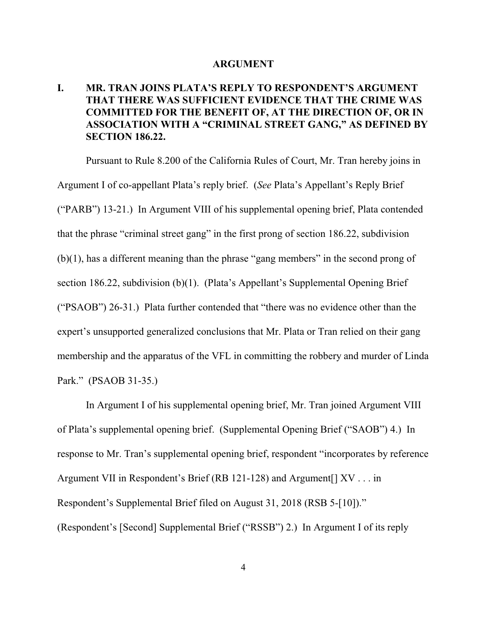#### **ARGUMENT**

# **I. MR. TRAN JOINS PLATA'S REPLY TO RESPONDENT'S ARGUMENT THAT THERE WAS SUFFICIENT EVIDENCE THAT THE CRIME WAS COMMITTED FOR THE BENEFIT OF, AT THE DIRECTION OF, OR IN ASSOCIATION WITH A "CRIMINAL STREET GANG," AS DEFINED BY SECTION 186.22.**

Pursuant to Rule 8.200 of the California Rules of Court, Mr. Tran hereby joins in Argument I of co-appellant Plata's reply brief. (*See* Plata's Appellant's Reply Brief ("PARB") 13-21.) In Argument VIII of his supplemental opening brief, Plata contended that the phrase "criminal street gang" in the first prong of section 186.22, subdivision (b)(1), has a different meaning than the phrase "gang members" in the second prong of section 186.22, subdivision (b)(1). (Plata's Appellant's Supplemental Opening Brief ("PSAOB") 26-31.) Plata further contended that "there was no evidence other than the expert's unsupported generalized conclusions that Mr. Plata or Tran relied on their gang membership and the apparatus of the VFL in committing the robbery and murder of Linda Park." (PSAOB 31-35.)

In Argument I of his supplemental opening brief, Mr. Tran joined Argument VIII of Plata's supplemental opening brief. (Supplemental Opening Brief ("SAOB") 4.) In response to Mr. Tran's supplemental opening brief, respondent "incorporates by reference Argument VII in Respondent's Brief (RB 121-128) and Argument[] XV . . . in Respondent's Supplemental Brief filed on August 31, 2018 (RSB 5-[10])." (Respondent's [Second] Supplemental Brief ("RSSB") 2.) In Argument I of its reply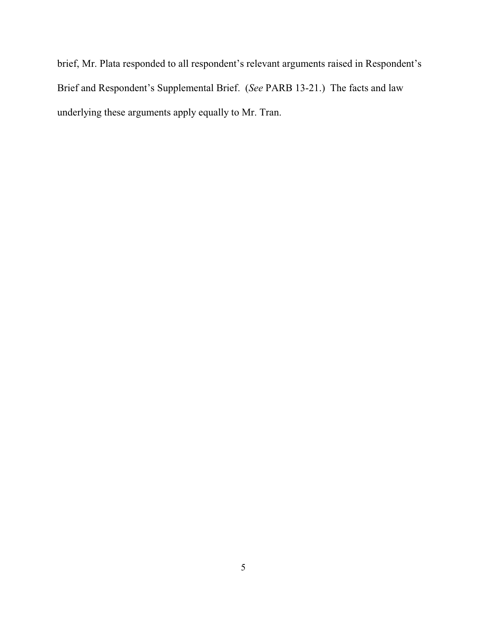brief, Mr. Plata responded to all respondent's relevant arguments raised in Respondent's Brief and Respondent's Supplemental Brief. (*See* PARB 13-21.) The facts and law underlying these arguments apply equally to Mr. Tran.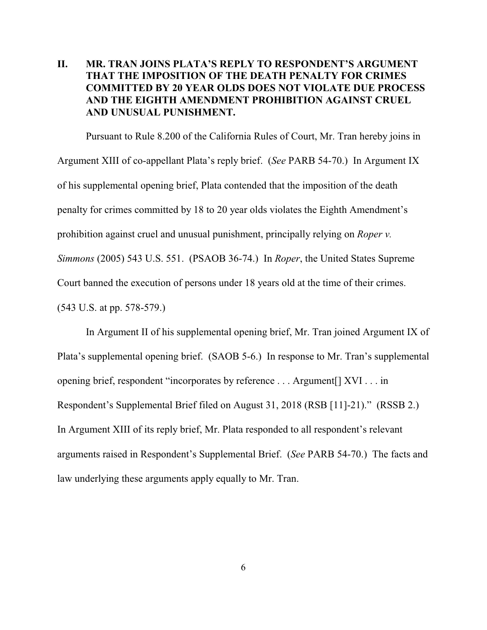# **II. MR. TRAN JOINS PLATA'S REPLY TO RESPONDENT'S ARGUMENT THAT THE IMPOSITION OF THE DEATH PENALTY FOR CRIMES COMMITTED BY 20 YEAR OLDS DOES NOT VIOLATE DUE PROCESS AND THE EIGHTH AMENDMENT PROHIBITION AGAINST CRUEL AND UNUSUAL PUNISHMENT.**

Pursuant to Rule 8.200 of the California Rules of Court, Mr. Tran hereby joins in Argument XIII of co-appellant Plata's reply brief. (*See* PARB 54-70.) In Argument IX of his supplemental opening brief, Plata contended that the imposition of the death penalty for crimes committed by 18 to 20 year olds violates the Eighth Amendment's prohibition against cruel and unusual punishment, principally relying on *Roper v. Simmons* (2005) 543 U.S. 551. (PSAOB 36-74.) In *Roper*, the United States Supreme Court banned the execution of persons under 18 years old at the time of their crimes. (543 U.S. at pp. 578-579.)

In Argument II of his supplemental opening brief, Mr. Tran joined Argument IX of Plata's supplemental opening brief. (SAOB 5-6.) In response to Mr. Tran's supplemental opening brief, respondent "incorporates by reference . . . Argument[] XVI . . . in Respondent's Supplemental Brief filed on August 31, 2018 (RSB [11]-21)." (RSSB 2.) In Argument XIII of its reply brief, Mr. Plata responded to all respondent's relevant arguments raised in Respondent's Supplemental Brief. (*See* PARB 54-70.) The facts and law underlying these arguments apply equally to Mr. Tran.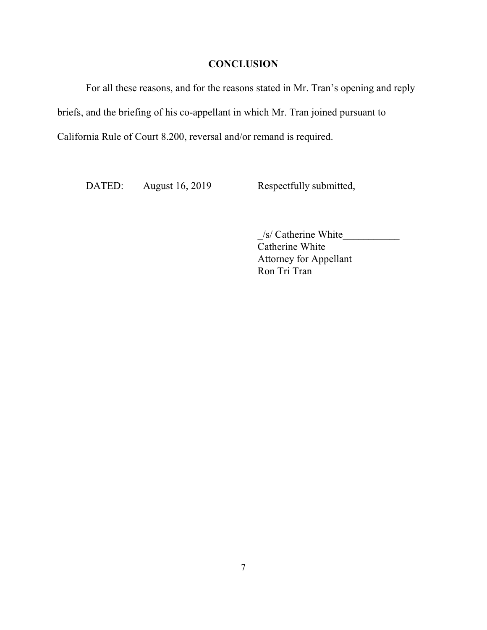## **CONCLUSION**

For all these reasons, and for the reasons stated in Mr. Tran's opening and reply briefs, and the briefing of his co-appellant in which Mr. Tran joined pursuant to California Rule of Court 8.200, reversal and/or remand is required.

DATED: August 16, 2019 Respectfully submitted,

\_/s/ Catherine White\_\_\_\_\_\_\_\_\_\_\_ Catherine White Attorney for Appellant Ron Tri Tran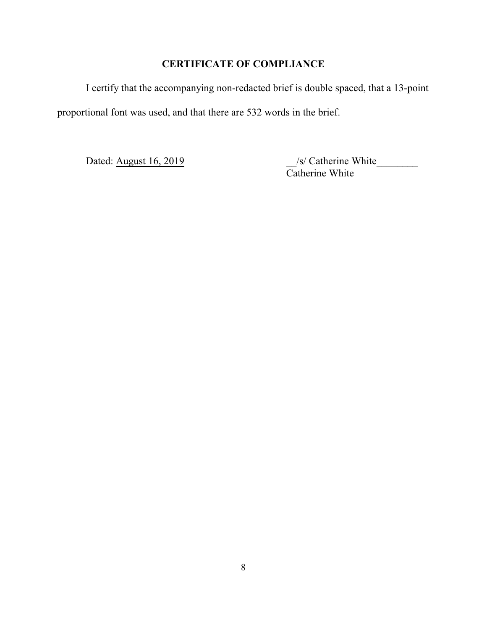# **CERTIFICATE OF COMPLIANCE**

I certify that the accompanying non-redacted brief is double spaced, that a 13-point proportional font was used, and that there are 532 words in the brief.

Dated: August 16, 2019 \_\_/s/ Catherine White\_\_\_\_\_\_\_\_ Catherine White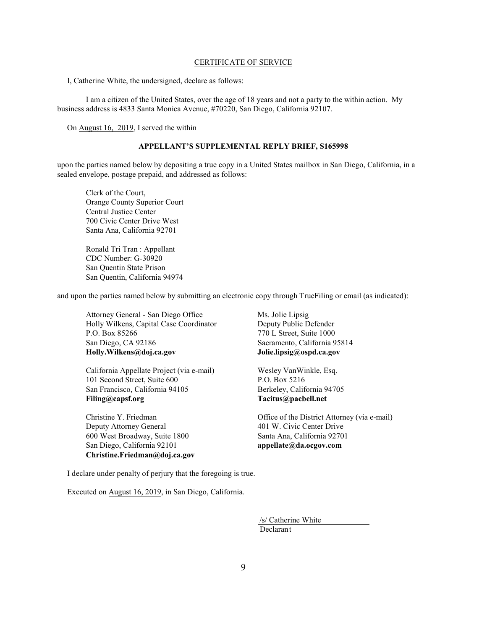#### CERTIFICATE OF SERVICE

I, Catherine White, the undersigned, declare as follows:

I am a citizen of the United States, over the age of 18 years and not a party to the within action. My business address is 4833 Santa Monica Avenue, #70220, San Diego, California 92107.

On August 16, 2019, I served the within

#### **APPELLANT'S SUPPLEMENTAL REPLY BRIEF, S165998**

upon the parties named below by depositing a true copy in a United States mailbox in San Diego, California, in a sealed envelope, postage prepaid, and addressed as follows:

Clerk of the Court, Orange County Superior Court Central Justice Center 700 Civic Center Drive West Santa Ana, California 92701

Ronald Tri Tran : Appellant CDC Number: G-30920 San Quentin State Prison San Quentin, California 94974

and upon the parties named below by submitting an electronic copy through TrueFiling or email (as indicated):

Attorney General - San Diego Office Ms. Jolie Lipsig Holly Wilkens, Capital Case Coordinator Deputy Public Defender P.O. Box 85266 770 L Street, Suite 1000 San Diego, CA 92186 Sacramento, California 95814 **Holly.Wilkens@doj.ca.gov Jolie.lipsig@ospd.ca.gov**

California Appellate Project (via e-mail) Wesley VanWinkle, Esq. 101 Second Street, Suite 600 P.O. Box 5216 San Francisco, California 94105 Berkeley, California 94705 **Filing@capsf.org Tacitus@pacbell.net**

Deputy Attorney General 401 W. Civic Center Drive 600 West Broadway, Suite 1800 Santa Ana, California 92701 San Diego, California 92101 **appellate@da.ocgov.com Christine.Friedman@doj.ca.gov**

Christine Y. Friedman Office of the District Attorney (via e-mail)

I declare under penalty of perjury that the foregoing is true.

Executed on August 16, 2019, in San Diego, California.

 /s/ Catherine White Declarant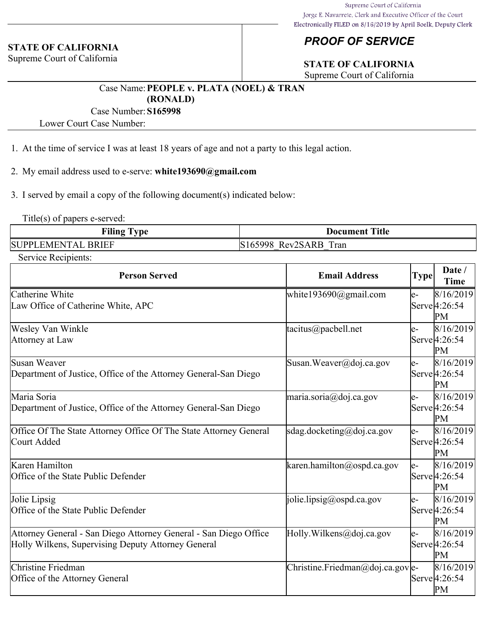#### **STATE OF CALIFORNIA**

Supreme Court of California

# *PROOF OF SERVICE*

# **STATE OF CALIFORNIA**

Supreme Court of California

#### Case Name:**PEOPLE v. PLATA (NOEL) & TRAN (RONALD)**

Case Number:**S165998**

Lower Court Case Number:

- 1. At the time of service I was at least 18 years of age and not a party to this legal action.
- 2. My email address used to e-serve: **white193690@gmail.com**
- 3. I served by email a copy of the following document(s) indicated below:

Title(s) of papers e-served:

| <b>Filing</b><br>l vpe    | <b>Document Title</b>   |
|---------------------------|-------------------------|
| <b>SUPPLEMENTAL BRIEF</b> | Rev2SARB Tran<br>165998 |

Service Recipients:

| <b>Person Served</b>                                                                                                   | <b>Email Address</b>              | <b>Type</b> | Date /<br><b>Time</b>                         |
|------------------------------------------------------------------------------------------------------------------------|-----------------------------------|-------------|-----------------------------------------------|
| Catherine White<br>Law Office of Catherine White, APC                                                                  | white193690@gmail.com             | e-          | 8/16/2019<br>Serve <sup>[4:26:54]</sup><br>PМ |
| Wesley Van Winkle<br>Attorney at Law                                                                                   | tacitus@pacbell.net               | e-          | 8/16/2019<br>Serve <sup>[4:26:54]</sup><br>PM |
| Susan Weaver<br>Department of Justice, Office of the Attorney General-San Diego                                        | Susan. Weaver@doj.ca.gov          | e-          | 8/16/2019<br>Serve <sup>[4:26:54]</sup><br>PМ |
| Maria Soria<br>Department of Justice, Office of the Attorney General-San Diego                                         | maria.soria@doj.ca.gov            | le-         | 8/16/2019<br>Serve <sup>[4:26:54]</sup><br>PМ |
| Office Of The State Attorney Office Of The State Attorney General<br>Court Added                                       | sdag.docketing@doj.ca.gov         | e-          | 8/16/2019<br>Serve <sup>[4:26:54]</sup><br>PМ |
| Karen Hamilton<br>Office of the State Public Defender                                                                  | karen.hamilton@ospd.ca.gov        | e-          | 8/16/2019<br>Serve <sup>[4:26:54]</sup><br>PМ |
| Jolie Lipsig<br>Office of the State Public Defender                                                                    | jolie.lipsig@ospd.ca.gov          | e-          | 8/16/2019<br>Serve <sup>[4:26:54]</sup><br>PМ |
| Attorney General - San Diego Attorney General - San Diego Office<br>Holly Wilkens, Supervising Deputy Attorney General | Holly. Wilkens@doj.ca.gov         | e-          | 8/16/2019<br>Serve <sup>[4:26:54]</sup><br>PM |
| Christine Friedman<br>Office of the Attorney General                                                                   | Christine. Friedman@doj.ca.gov e- |             | 8/16/2019<br>Serve 4:26:54<br>PM              |